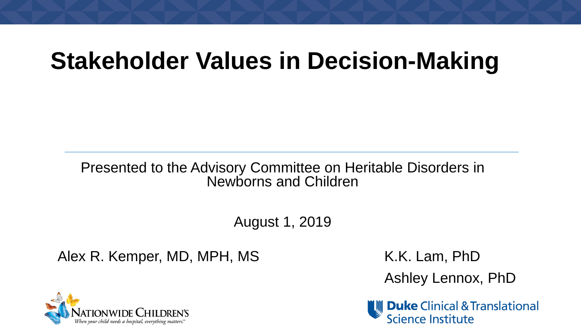## **Stakeholder Values in Decision-Making**

Presented to the Advisory Committee on Heritable Disorders in Newborns and Children

August 1, 2019

Alex R. Kemper, MD, MPH, MS K.K. Lam, PhD

Ashley Lennox, PhD

**Duke** Clinical & Translational **Science Institute** 

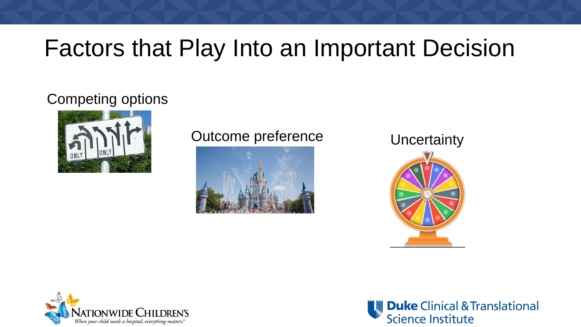## Factors that Play Into an Important Decision

#### Competing options



#### Outcome preference<br>
Uncertainty







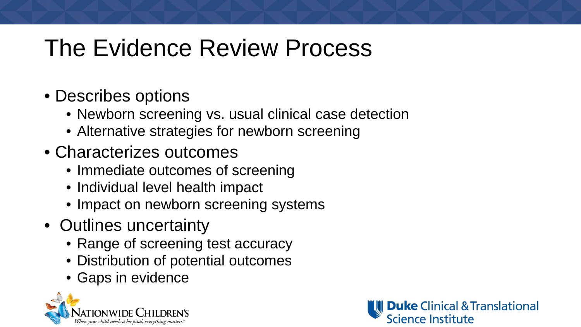## The Evidence Review Process

- Describes options
	- Newborn screening vs. usual clinical case detection
	- Alternative strategies for newborn screening
- Characterizes outcomes
	- Immediate outcomes of screening
	- Individual level health impact
	- Impact on newborn screening systems
- Outlines uncertainty
	- Range of screening test accuracy
	- Distribution of potential outcomes
	- Gaps in evidence



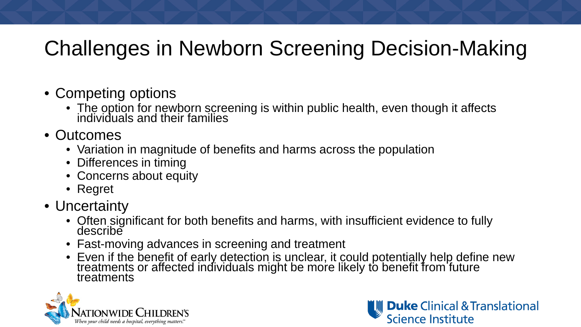#### Challenges in Newborn Screening Decision-Making

- Competing options
	- The option for newborn screening is within public health, even though it affects individuals and their families
- Outcomes
	- Variation in magnitude of benefits and harms across the population
	- Differences in timing
	- Concerns about equity
	- Regret
- Uncertainty
	- Often significant for both benefits and harms, with insufficient evidence to fully describe
	- Fast-moving advances in screening and treatment
	- Even if the benefit of early detection is unclear, it could potentially help define new treatments or affected individuals might be more likely to benefit from future treatments



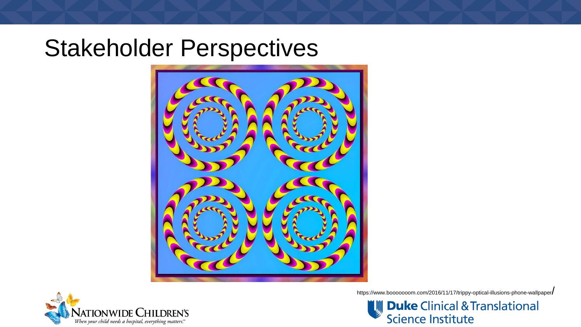#### Stakeholder Perspectives





https://www.booooooom.com/2016/11/17/trippy-optical-illusions-phone-wallpaper/

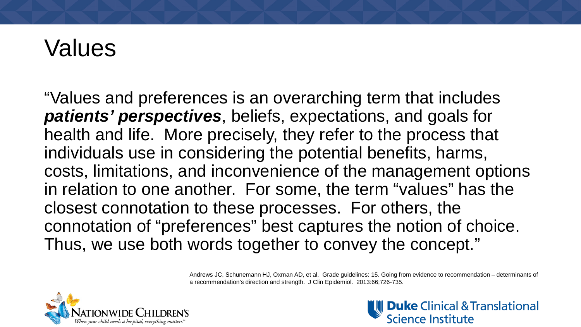## Values

"Values and preferences is an overarching term that includes *patients' perspectives*, beliefs, expectations, and goals for health and life. More precisely, they refer to the process that individuals use in considering the potential benefits, harms, costs, limitations, and inconvenience of the management options in relation to one another. For some, the term "values" has the closest connotation to these processes. For others, the connotation of "preferences" best captures the notion of choice. Thus, we use both words together to convey the concept."

> Andrews JC, Schunemann HJ, Oxman AD, et al. Grade guidelines: 15. Going from evidence to recommendation – determinants of a recommendation's direction and strength. J Clin Epidemiol. 2013:66;726-735.



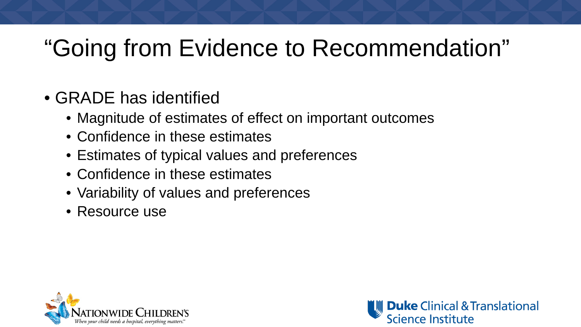## "Going from Evidence to Recommendation"

- GRADE has identified
	- Magnitude of estimates of effect on important outcomes
	- Confidence in these estimates
	- Estimates of typical values and preferences
	- Confidence in these estimates
	- Variability of values and preferences
	- Resource use



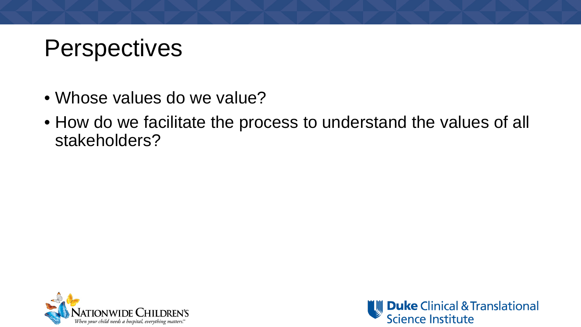## **Perspectives**

- Whose values do we value?
- How do we facilitate the process to understand the values of all stakeholders?



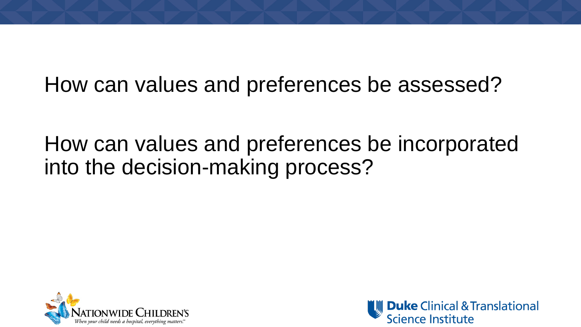#### How can values and preferences be assessed?

#### How can values and preferences be incorporated into the decision-making process?



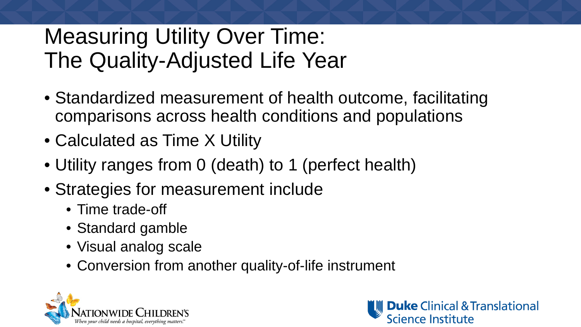#### Measuring Utility Over Time: The Quality-Adjusted Life Year

- Standardized measurement of health outcome, facilitating comparisons across health conditions and populations
- Calculated as Time X Utility
- Utility ranges from 0 (death) to 1 (perfect health)
- Strategies for measurement include
	- Time trade-off
	- Standard gamble
	- Visual analog scale
	- Conversion from another quality-of-life instrument



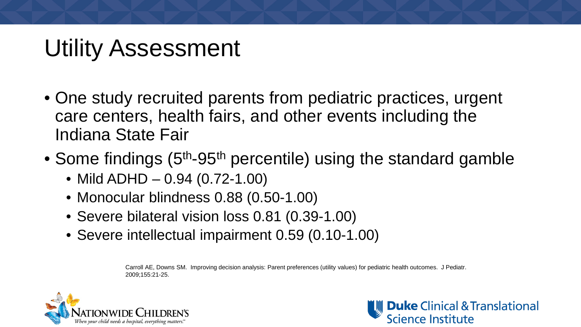## Utility Assessment

- One study recruited parents from pediatric practices, urgent care centers, health fairs, and other events including the Indiana State Fair
- Some findings (5<sup>th</sup>-95<sup>th</sup> percentile) using the standard gamble
	- Mild ADHD 0.94 (0.72-1.00)
	- Monocular blindness 0.88 (0.50-1.00)
	- Severe bilateral vision loss 0.81 (0.39-1.00)
	- Severe intellectual impairment 0.59 (0.10-1.00)

Carroll AE, Downs SM. Improving decision analysis: Parent preferences (utility values) for pediatric health outcomes. J Pediatr. 2009;155:21-25.



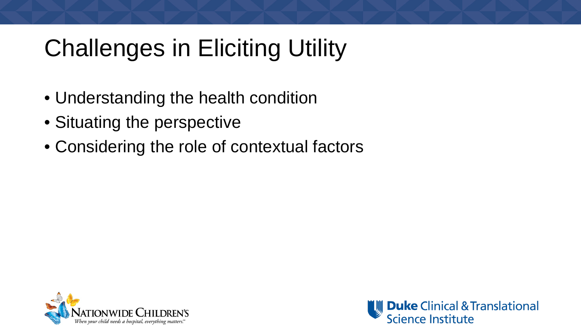# Challenges in Eliciting Utility

- Understanding the health condition
- Situating the perspective
- Considering the role of contextual factors



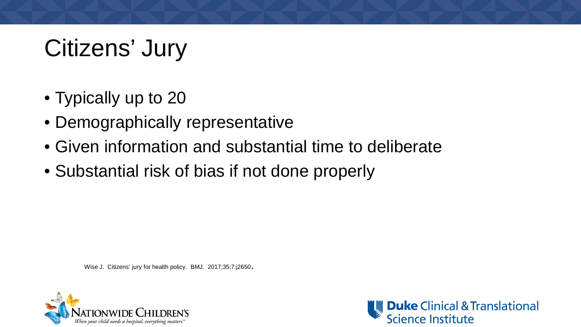# Citizens' Jury

- Typically up to 20
- Demographically representative
- Given information and substantial time to deliberate
- Substantial risk of bias if not done properly

Wise J. Citizens' jury for health policy. BMJ. 2017;35:7:j2650.



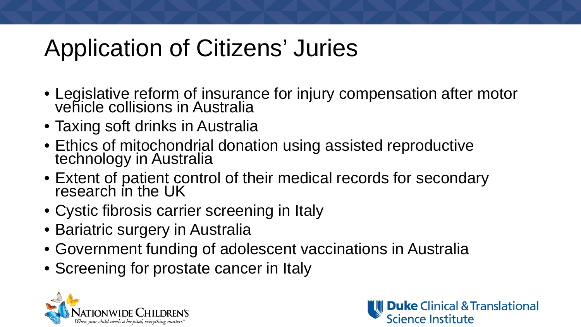## Application of Citizens' Juries

- Legislative reform of insurance for injury compensation after motor vehicle collisions in Australia
- Taxing soft drinks in Australia
- Ethics of mitochondrial donation using assisted reproductive technology in Australia
- Extent of patient control of their medical records for secondary research in the UK
- Cystic fibrosis carrier screening in Italy
- Bariatric surgery in Australia
- Government funding of adolescent vaccinations in Australia
- Screening for prostate cancer in Italy



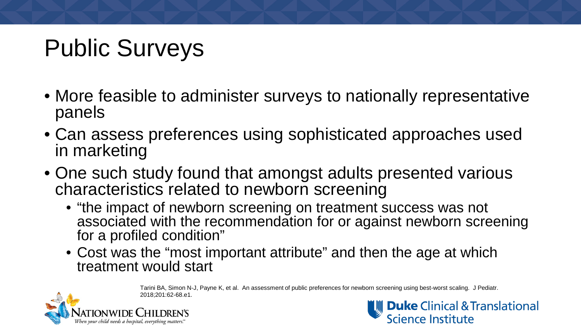# Public Surveys

- More feasible to administer surveys to nationally representative panels
- Can assess preferences using sophisticated approaches used in marketing
- One such study found that amongst adults presented various characteristics related to newborn screening
	- "the impact of newborn screening on treatment success was not associated with the recommendation for or against newborn screening for a profiled condition"
	- Cost was the "most important attribute" and then the age at which treatment would start

Tarini BA, Simon N-J, Payne K, et al. An assessment of public preferences for newborn screening using best-worst scaling. J Pediatr. 2018;201:62-68.e1.



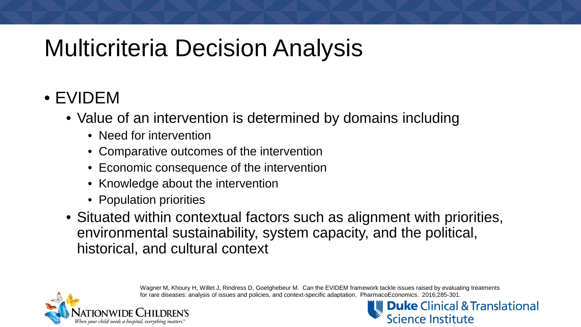## Multicriteria Decision Analysis

#### • EVIDEM

- Value of an intervention is determined by domains including
	- Need for intervention
	- Comparative outcomes of the intervention
	- Economic consequence of the intervention
	- Knowledge about the intervention
	- Population priorities
- Situated within contextual factors such as alignment with priorities, environmental sustainability, system capacity, and the political, historical, and cultural context

Wagner M, Khoury H, Willet J, Rindress D, Goetghebeur M. Can the EVIDEM framework tackle issues raised by evaluating treatments for rare diseases: analysis of issues and policies, and context-specific adaptation. PharmacoEconomics. 2016;285-301.



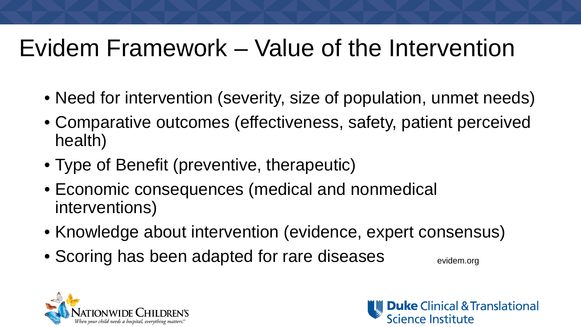## Evidem Framework – Value of the Intervention

- Need for intervention (severity, size of population, unmet needs)
- Comparative outcomes (effectiveness, safety, patient perceived health)
- Type of Benefit (preventive, therapeutic)
- Economic consequences (medical and nonmedical interventions)
- Knowledge about intervention (evidence, expert consensus)
- Scoring has been adapted for rare diseases **Exidem.org**



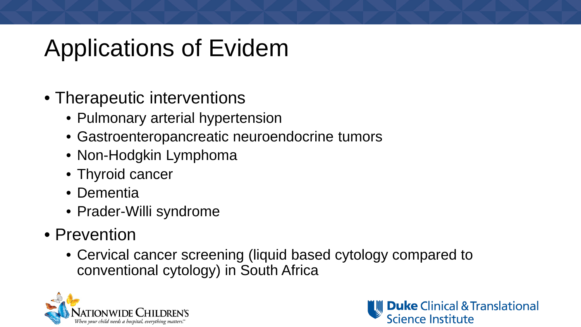## Applications of Evidem

- Therapeutic interventions
	- Pulmonary arterial hypertension
	- Gastroenteropancreatic neuroendocrine tumors
	- Non-Hodgkin Lymphoma
	- Thyroid cancer
	- Dementia
	- Prader-Willi syndrome
- Prevention
	- Cervical cancer screening (liquid based cytology compared to conventional cytology) in South Africa



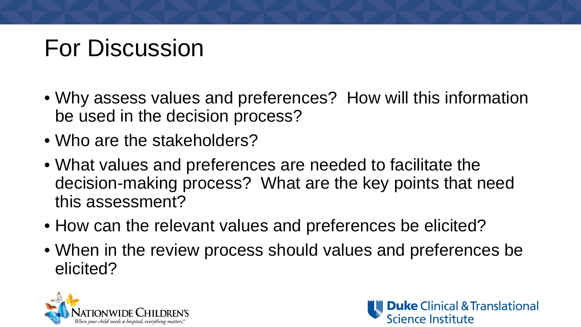## For Discussion

- Why assess values and preferences? How will this information be used in the decision process?
- Who are the stakeholders?
- What values and preferences are needed to facilitate the decision-making process? What are the key points that need this assessment?
- How can the relevant values and preferences be elicited?
- When in the review process should values and preferences be elicited?